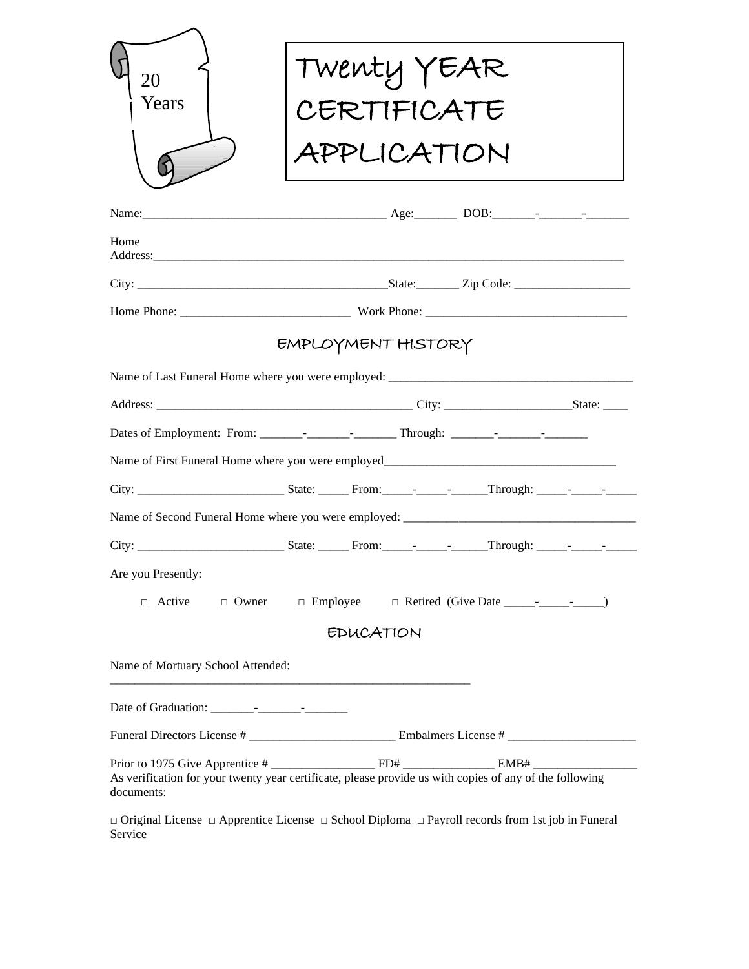| 20                                | Twenty YEAR                                                                                                            |
|-----------------------------------|------------------------------------------------------------------------------------------------------------------------|
| Years                             | CERTIFICATE                                                                                                            |
|                                   | APPLICATION                                                                                                            |
|                                   |                                                                                                                        |
| Home                              |                                                                                                                        |
|                                   |                                                                                                                        |
|                                   |                                                                                                                        |
|                                   | EMPLOYMENT HISTORY                                                                                                     |
|                                   |                                                                                                                        |
|                                   |                                                                                                                        |
|                                   |                                                                                                                        |
|                                   |                                                                                                                        |
|                                   |                                                                                                                        |
|                                   |                                                                                                                        |
|                                   |                                                                                                                        |
| Are you Presently:                |                                                                                                                        |
| $\Box$ Active                     | $\Box$ Owner $\Box$ Employee                                                                                           |
|                                   | <b>EDUCATION</b>                                                                                                       |
| Name of Mortuary School Attended: |                                                                                                                        |
|                                   |                                                                                                                        |
|                                   |                                                                                                                        |
| documents:                        |                                                                                                                        |
| Service                           | $\Box$ Original License $\Box$ Apprentice License $\Box$ School Diploma $\Box$ Payroll records from 1st job in Funeral |